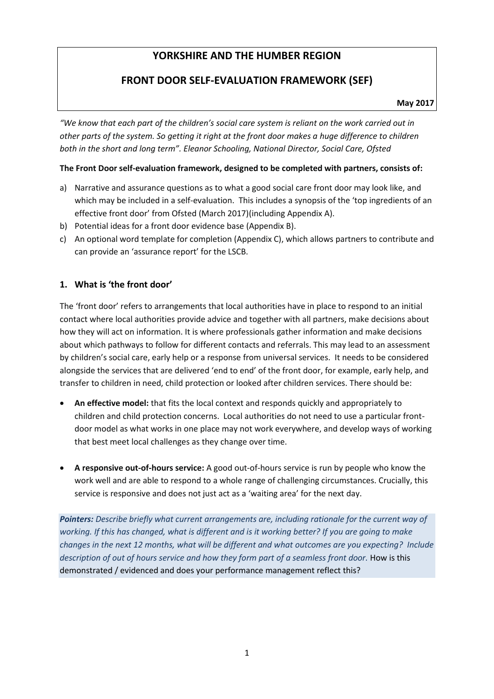# **YORKSHIRE AND THE HUMBER REGION**

# **FRONT DOOR SELF-EVALUATION FRAMEWORK (SEF)**

**May 2017** 

*"We know that each part of the children's social care system is reliant on the work carried out in other parts of the system. So getting it right at the front door makes a huge difference to children both in the short and long term". Eleanor Schooling, National Director, Social Care, Ofsted*

#### **The Front Door self-evaluation framework, designed to be completed with partners, consists of:**

- a) Narrative and assurance questions as to what a good social care front door may look like, and which may be included in a self-evaluation. This includes a synopsis of the 'top ingredients of an effective front door' from Ofsted (March 2017)(including Appendix A).
- b) Potential ideas for a front door evidence base (Appendix B).
- c) An optional word template for completion (Appendix C), which allows partners to contribute and can provide an 'assurance report' for the LSCB.

## **1. What is 'the front door'**

The 'front door' refers to arrangements that local authorities have in place to respond to an initial contact where local authorities provide advice and together with all partners, make decisions about how they will act on information. It is where professionals gather information and make decisions about which pathways to follow for different contacts and referrals. This may lead to an assessment by children's social care, early help or a response from universal services. It needs to be considered alongside the services that are delivered 'end to end' of the front door, for example, early help, and transfer to children in need, child protection or looked after children services. There should be:

- **An effective model:** that fits the local context and responds quickly and appropriately to children and child protection concerns. Local authorities do not need to use a particular frontdoor model as what works in one place may not work everywhere, and develop ways of working that best meet local challenges as they change over time.
- **A responsive out-of-hours service:** A good out-of-hours service is run by people who know the work well and are able to respond to a whole range of challenging circumstances. Crucially, this service is responsive and does not just act as a 'waiting area' for the next day.

*Pointers: Describe briefly what current arrangements are, including rationale for the current way of working. If this has changed, what is different and is it working better? If you are going to make changes in the next 12 months, what will be different and what outcomes are you expecting? Include description of out of hours service and how they form part of a seamless front door.* How is this demonstrated / evidenced and does your performance management reflect this?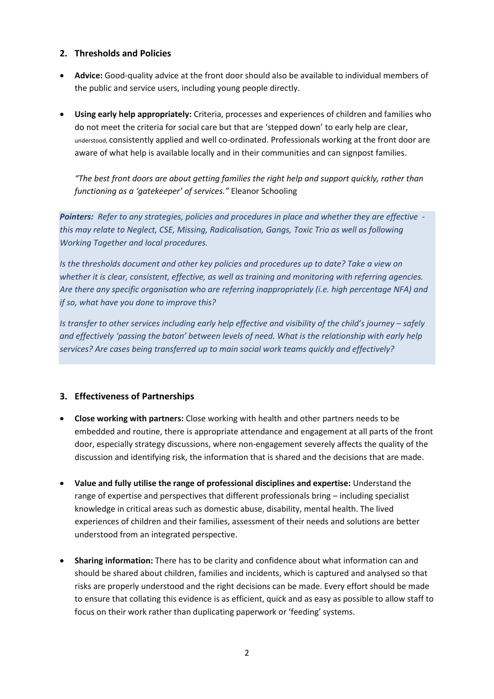#### **2. Thresholds and Policies**

- **Advice:** Good-quality advice at the front door should also be available to individual members of the public and service users, including young people directly.
- **Using early help appropriately:** Criteria, processes and experiences of children and families who do not meet the criteria for social care but that are 'stepped down' to early help are clear, understood, consistently applied and well co-ordinated. Professionals working at the front door are aware of what help is available locally and in their communities and can signpost families.

*"The best front doors are about getting families the right help and support quickly, rather than functioning as a 'gatekeeper' of services."* Eleanor Schooling

*Pointers: Refer to any strategies, policies and procedures in place and whether they are effective this may relate to Neglect, CSE, Missing, Radicalisation, Gangs, Toxic Trio as well as following Working Together and local procedures.*

*Is the thresholds document and other key policies and procedures up to date? Take a view on whether it is clear, consistent, effective, as well as training and monitoring with referring agencies. Are there any specific organisation who are referring inappropriately (i.e. high percentage NFA) and if so, what have you done to improve this?*

*Is transfer to other services including early help effective and visibility of the child's journey – safely and effectively 'passing the baton' between levels of need. What is the relationship with early help services? Are cases being transferred up to main social work teams quickly and effectively?*

#### **3. Effectiveness of Partnerships**

- **Close working with partners:** Close working with health and other partners needs to be embedded and routine, there is appropriate attendance and engagement at all parts of the front door, especially strategy discussions, where non-engagement severely affects the quality of the discussion and identifying risk, the information that is shared and the decisions that are made.
- **Value and fully utilise the range of professional disciplines and expertise:** Understand the range of expertise and perspectives that different professionals bring – including specialist knowledge in critical areas such as domestic abuse, disability, mental health. The lived experiences of children and their families, assessment of their needs and solutions are better understood from an integrated perspective.
- **Sharing information:** There has to be clarity and confidence about what information can and should be shared about children, families and incidents, which is captured and analysed so that risks are properly understood and the right decisions can be made. Every effort should be made to ensure that collating this evidence is as efficient, quick and as easy as possible to allow staff to focus on their work rather than duplicating paperwork or 'feeding' systems.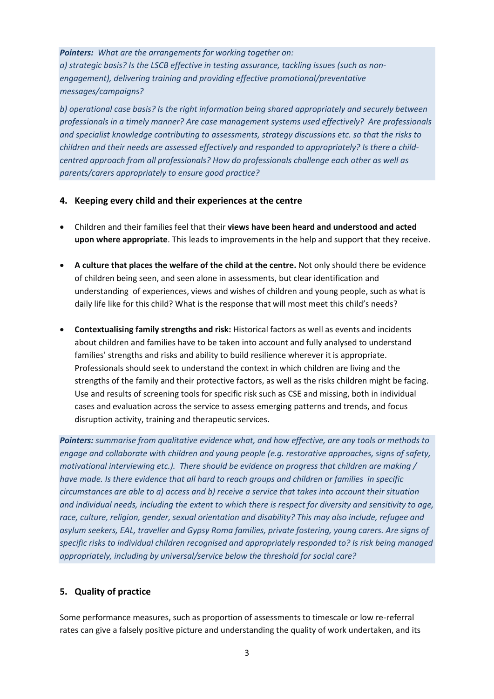#### *Pointers: What are the arrangements for working together on:*

*a) strategic basis? Is the LSCB effective in testing assurance, tackling issues (such as nonengagement), delivering training and providing effective promotional/preventative messages/campaigns?* 

*b) operational case basis? Is the right information being shared appropriately and securely between professionals in a timely manner? Are case management systems used effectively? Are professionals and specialist knowledge contributing to assessments, strategy discussions etc. so that the risks to children and their needs are assessed effectively and responded to appropriately? Is there a childcentred approach from all professionals? How do professionals challenge each other as well as parents/carers appropriately to ensure good practice?*

#### **4. Keeping every child and their experiences at the centre**

- Children and their families feel that their **views have been heard and understood and acted upon where appropriate**. This leads to improvements in the help and support that they receive.
- **A culture that places the welfare of the child at the centre.** Not only should there be evidence of children being seen, and seen alone in assessments, but clear identification and understanding of experiences, views and wishes of children and young people, such as what is daily life like for this child? What is the response that will most meet this child's needs?
- **Contextualising family strengths and risk:** Historical factors as well as events and incidents about children and families have to be taken into account and fully analysed to understand families' strengths and risks and ability to build resilience wherever it is appropriate. Professionals should seek to understand the context in which children are living and the strengths of the family and their protective factors, as well as the risks children might be facing. Use and results of screening tools for specific risk such as CSE and missing, both in individual cases and evaluation across the service to assess emerging patterns and trends, and focus disruption activity, training and therapeutic services.

*Pointers: summarise from qualitative evidence what, and how effective, are any tools or methods to engage and collaborate with children and young people (e.g. restorative approaches, signs of safety, motivational interviewing etc.). There should be evidence on progress that children are making / have made. Is there evidence that all hard to reach groups and children or families in specific circumstances are able to a) access and b) receive a service that takes into account their situation and individual needs, including the extent to which there is respect for diversity and sensitivity to age, race, culture, religion, gender, sexual orientation and disability? This may also include, refugee and asylum seekers, EAL, traveller and Gypsy Roma families, private fostering, young carers. Are signs of specific risks to individual children recognised and appropriately responded to? Is risk being managed appropriately, including by universal/service below the threshold for social care?* 

#### **5. Quality of practice**

Some performance measures, such as proportion of assessments to timescale or low re-referral rates can give a falsely positive picture and understanding the quality of work undertaken, and its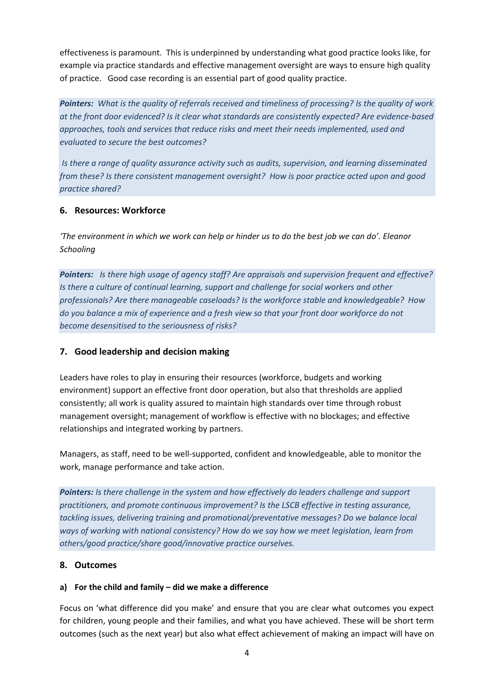effectiveness is paramount. This is underpinned by understanding what good practice looks like, for example via practice standards and effective management oversight are ways to ensure high quality of practice. Good case recording is an essential part of good quality practice.

*Pointers: What is the quality of referrals received and timeliness of processing? Is the quality of work at the front door evidenced? Is it clear what standards are consistently expected? Are evidence-based approaches, tools and services that reduce risks and meet their needs implemented, used and evaluated to secure the best outcomes?*

*Is there a range of quality assurance activity such as audits, supervision, and learning disseminated from these? Is there consistent management oversight? How is poor practice acted upon and good practice shared?*

#### **6. Resources: Workforce**

*'The environment in which we work can help or hinder us to do the best job we can do'. Eleanor Schooling*

*Pointers: Is there high usage of agency staff? Are appraisals and supervision frequent and effective? Is there a culture of continual learning, support and challenge for social workers and other professionals? Are there manageable caseloads? Is the workforce stable and knowledgeable? How do you balance a mix of experience and a fresh view so that your front door workforce do not become desensitised to the seriousness of risks?*

## **7. Good leadership and decision making**

Leaders have roles to play in ensuring their resources (workforce, budgets and working environment) support an effective front door operation, but also that thresholds are applied consistently; all work is quality assured to maintain high standards over time through robust management oversight; management of workflow is effective with no blockages; and effective relationships and integrated working by partners.

Managers, as staff, need to be well-supported, confident and knowledgeable, able to monitor the work, manage performance and take action.

*Pointers: Is there challenge in the system and how effectively do leaders challenge and support practitioners, and promote continuous improvement? Is the LSCB effective in testing assurance, tackling issues, delivering training and promotional/preventative messages? Do we balance local ways of working with national consistency? How do we say how we meet legislation, learn from others/good practice/share good/innovative practice ourselves.*

#### **8. Outcomes**

#### **a) For the child and family – did we make a difference**

Focus on 'what difference did you make' and ensure that you are clear what outcomes you expect for children, young people and their families, and what you have achieved. These will be short term outcomes (such as the next year) but also what effect achievement of making an impact will have on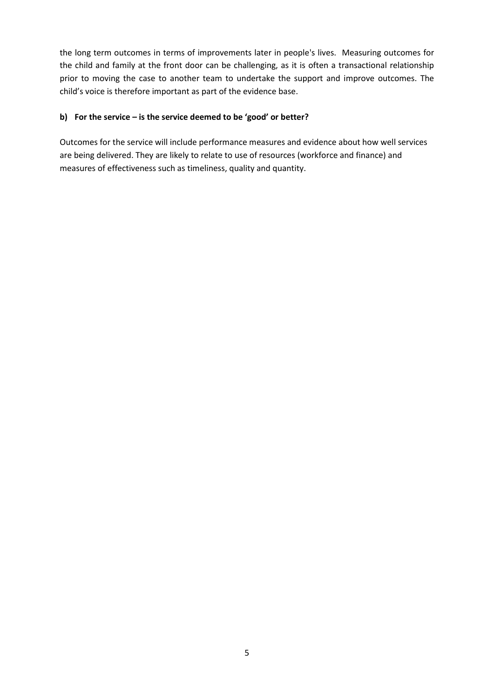the long term outcomes in terms of improvements later in people's lives. Measuring outcomes for the child and family at the front door can be challenging, as it is often a transactional relationship prior to moving the case to another team to undertake the support and improve outcomes. The child's voice is therefore important as part of the evidence base.

## **b) For the service – is the service deemed to be 'good' or better?**

Outcomes for the service will include performance measures and evidence about how well services are being delivered. They are likely to relate to use of resources (workforce and finance) and measures of effectiveness such as timeliness, quality and quantity.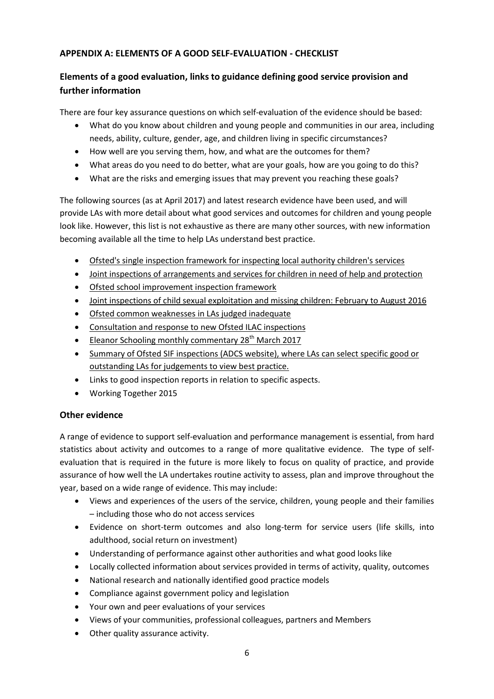## **APPENDIX A: ELEMENTS OF A GOOD SELF-EVALUATION - CHECKLIST**

# **Elements of a good evaluation, links to guidance defining good service provision and further information**

There are four key assurance questions on which self-evaluation of the evidence should be based:

- What do you know about children and young people and communities in our area, including needs, ability, culture, gender, age, and children living in specific circumstances?
- How well are you serving them, how, and what are the outcomes for them?
- What areas do you need to do better, what are your goals, how are you going to do this?
- What are the risks and emerging issues that may prevent you reaching these goals?

The following sources (as at April 2017) and latest research evidence have been used, and will provide LAs with more detail about what good services and outcomes for children and young people look like. However, this list is not exhaustive as there are many other sources, with new information becoming available all the time to help LAs understand best practice.

- [Ofsted's single inspection framework for inspecting local authority children's services](https://www.gov.uk/government/publications/inspecting-local-authority-childrens-services-framework)
- [Joint inspections of arrangements and services for children in need of help and protection](https://www.gov.uk/government/uploads/system/uploads/attachment_data/file/494681/Joint_targeted_area_inspections_inspection_framework_and_guidance.doc)
- [Ofsted school improvement inspection framework](https://www.gov.uk/government/uploads/system/uploads/attachment_data/file/462244/Framework_for_the_inspection_of_local_authority_arrangements_for_supporting_school_improvement.pdf)
- [Joint inspections of child sexual exploitation and missing children: February to August 2016](https://www.gov.uk/government/publications/joint-inspections-of-child-sexual-exploitation-and-missing-children-february-to-august-2016)
- [Ofsted common weaknesses in LAs judged inadequate](https://www.gov.uk/government/publications/local-authority-childrens-services-judged-inadequate-examples-of-common-weaknesses)
- [Consultation and response to new Ofsted ILAC inspections](https://www.gov.uk/government/uploads/system/uploads/attachment_data/file/593445/Future_of_social_care_inspection_-_consultation_outcomes_REPORT.pdf)
- [Eleanor Schooling monthly commentary 28](https://www.gov.uk/government/speeches/social-care-monthly-commentary-march-2017)<sup>th</sup> March 2017
- Summary of Ofsted SIF inspections (ADCS website), where LAs can select specific good or [outstanding LAs for judgements to view best practice.](http://adcs.org.uk/inspection/article/sif-outcomes-summary)
- Links to good inspection reports in relation to specific aspects.
- Working Together 2015

## **Other evidence**

A range of evidence to support self-evaluation and performance management is essential, from hard statistics about activity and outcomes to a range of more qualitative evidence. The type of selfevaluation that is required in the future is more likely to focus on quality of practice, and provide assurance of how well the LA undertakes routine activity to assess, plan and improve throughout the year, based on a wide range of evidence. This may include:

- Views and experiences of the users of the service, children, young people and their families – including those who do not access services
- Evidence on short-term outcomes and also long-term for service users (life skills, into adulthood, social return on investment)
- Understanding of performance against other authorities and what good looks like
- Locally collected information about services provided in terms of activity, quality, outcomes
- National research and nationally identified good practice models
- Compliance against government policy and legislation
- Your own and peer evaluations of your services
- Views of your communities, professional colleagues, partners and Members
- Other quality assurance activity.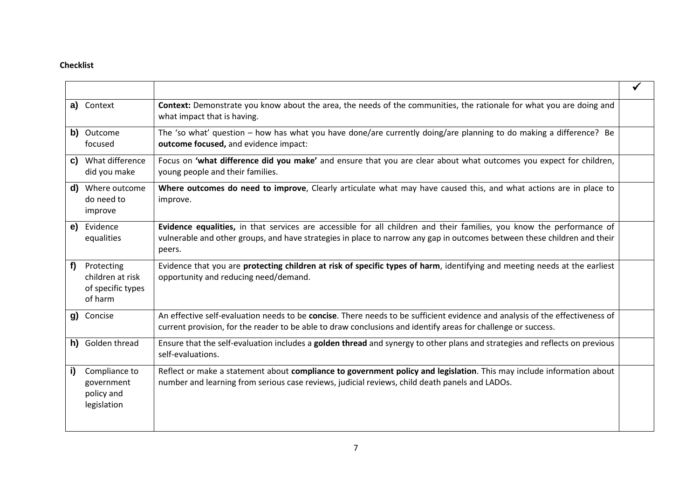## **Checklist**

|    | a) Context                                                     | Context: Demonstrate you know about the area, the needs of the communities, the rationale for what you are doing and<br>what impact that is having.                                                                                                         |  |
|----|----------------------------------------------------------------|-------------------------------------------------------------------------------------------------------------------------------------------------------------------------------------------------------------------------------------------------------------|--|
|    | b) Outcome<br>focused                                          | The 'so what' question - how has what you have done/are currently doing/are planning to do making a difference? Be<br>outcome focused, and evidence impact:                                                                                                 |  |
| C) | What difference<br>did you make                                | Focus on 'what difference did you make' and ensure that you are clear about what outcomes you expect for children,<br>young people and their families.                                                                                                      |  |
| d) | Where outcome<br>do need to<br>improve                         | Where outcomes do need to improve, Clearly articulate what may have caused this, and what actions are in place to<br>improve.                                                                                                                               |  |
| e) | Evidence<br>equalities                                         | Evidence equalities, in that services are accessible for all children and their families, you know the performance of<br>vulnerable and other groups, and have strategies in place to narrow any gap in outcomes between these children and their<br>peers. |  |
| f  | Protecting<br>children at risk<br>of specific types<br>of harm | Evidence that you are protecting children at risk of specific types of harm, identifying and meeting needs at the earliest<br>opportunity and reducing need/demand.                                                                                         |  |
| g) | Concise                                                        | An effective self-evaluation needs to be concise. There needs to be sufficient evidence and analysis of the effectiveness of<br>current provision, for the reader to be able to draw conclusions and identify areas for challenge or success.               |  |
| h) | Golden thread                                                  | Ensure that the self-evaluation includes a golden thread and synergy to other plans and strategies and reflects on previous<br>self-evaluations.                                                                                                            |  |
| i) | Compliance to<br>government<br>policy and<br>legislation       | Reflect or make a statement about compliance to government policy and legislation. This may include information about<br>number and learning from serious case reviews, judicial reviews, child death panels and LADOs.                                     |  |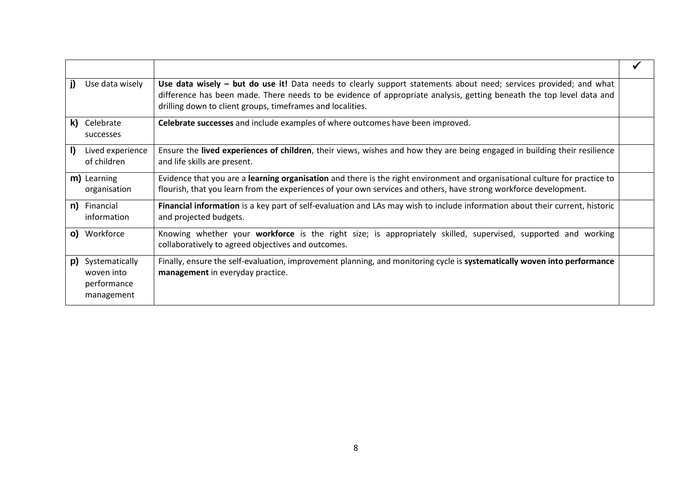| Use data wisely<br>D.                                           | Use data wisely – but do use it! Data needs to clearly support statements about need; services provided; and what<br>difference has been made. There needs to be evidence of appropriate analysis, getting beneath the top level data and<br>drilling down to client groups, timeframes and localities. |  |
|-----------------------------------------------------------------|---------------------------------------------------------------------------------------------------------------------------------------------------------------------------------------------------------------------------------------------------------------------------------------------------------|--|
| Celebrate<br>k).<br>successes                                   | Celebrate successes and include examples of where outcomes have been improved.                                                                                                                                                                                                                          |  |
| Lived experience<br>I)<br>of children                           | Ensure the lived experiences of children, their views, wishes and how they are being engaged in building their resilience<br>and life skills are present.                                                                                                                                               |  |
| m) Learning<br>organisation                                     | Evidence that you are a learning organisation and there is the right environment and organisational culture for practice to<br>flourish, that you learn from the experiences of your own services and others, have strong workforce development.                                                        |  |
| n)<br>Financial<br>information                                  | Financial information is a key part of self-evaluation and LAs may wish to include information about their current, historic<br>and projected budgets.                                                                                                                                                  |  |
| o) Workforce                                                    | Knowing whether your workforce is the right size; is appropriately skilled, supervised, supported and working<br>collaboratively to agreed objectives and outcomes.                                                                                                                                     |  |
| Systematically<br>p)<br>woven into<br>performance<br>management | Finally, ensure the self-evaluation, improvement planning, and monitoring cycle is systematically woven into performance<br>management in everyday practice.                                                                                                                                            |  |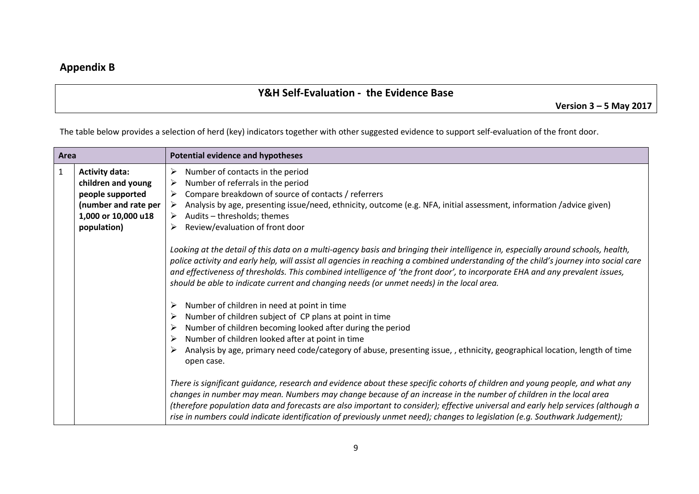# **Appendix B**

# **Y&H Self-Evaluation - the Evidence Base**

**Version 3 – 5 May 2017**

The table below provides a selection of herd (key) indicators together with other suggested evidence to support self-evaluation of the front door.

| Area |                                                                                                                                 | <b>Potential evidence and hypotheses</b>                                                                                                                                                                                                                                                                                                                                                                                                                                                                              |
|------|---------------------------------------------------------------------------------------------------------------------------------|-----------------------------------------------------------------------------------------------------------------------------------------------------------------------------------------------------------------------------------------------------------------------------------------------------------------------------------------------------------------------------------------------------------------------------------------------------------------------------------------------------------------------|
| 1    | <b>Activity data:</b><br>children and young<br>people supported<br>(number and rate per  <br>1,000 or 10,000 u18<br>population) | Number of contacts in the period<br>➤<br>Number of referrals in the period<br>➤<br>Compare breakdown of source of contacts / referrers<br>➤<br>> Analysis by age, presenting issue/need, ethnicity, outcome (e.g. NFA, initial assessment, information /advice given)<br>$\triangleright$ Audits – thresholds; themes<br>Review/evaluation of front door<br>➤                                                                                                                                                         |
|      |                                                                                                                                 | Looking at the detail of this data on a multi-agency basis and bringing their intelligence in, especially around schools, health,<br>police activity and early help, will assist all agencies in reaching a combined understanding of the child's journey into social care<br>and effectiveness of thresholds. This combined intelligence of 'the front door', to incorporate EHA and any prevalent issues,<br>should be able to indicate current and changing needs (or unmet needs) in the local area.              |
|      |                                                                                                                                 | Number of children in need at point in time<br>Number of children subject of CP plans at point in time<br>Number of children becoming looked after during the period<br>Number of children looked after at point in time<br>Analysis by age, primary need code/category of abuse, presenting issue, , ethnicity, geographical location, length of time<br>open case.                                                                                                                                                  |
|      |                                                                                                                                 | There is significant guidance, research and evidence about these specific cohorts of children and young people, and what any<br>changes in number may mean. Numbers may change because of an increase in the number of children in the local area<br>(therefore population data and forecasts are also important to consider); effective universal and early help services (although a<br>rise in numbers could indicate identification of previously unmet need); changes to legislation (e.g. Southwark Judgement); |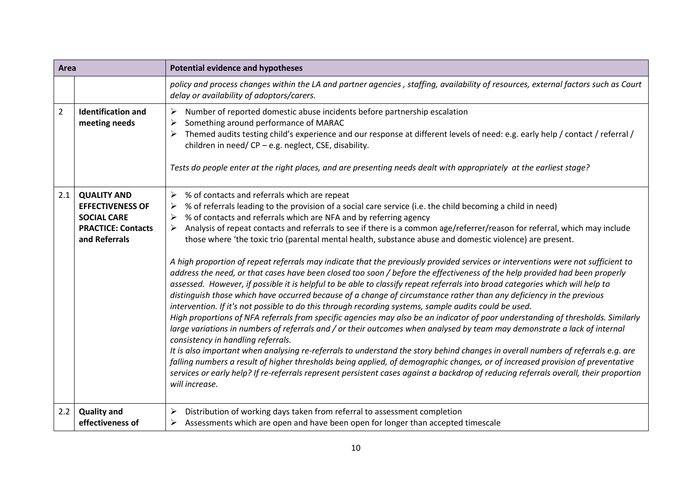| Area           |                                                                                                                   | <b>Potential evidence and hypotheses</b>                                                                                                                                                                                                                                                                                                                                                                                                                                                                                                                                                                                                                                                                                                                                                                                                                                                                                                                                                                                                                                                                                                                                                                                                                                                                                                                                                                                                                                                                                                                                                                                                                                                                                                                                                                                                                                  |
|----------------|-------------------------------------------------------------------------------------------------------------------|---------------------------------------------------------------------------------------------------------------------------------------------------------------------------------------------------------------------------------------------------------------------------------------------------------------------------------------------------------------------------------------------------------------------------------------------------------------------------------------------------------------------------------------------------------------------------------------------------------------------------------------------------------------------------------------------------------------------------------------------------------------------------------------------------------------------------------------------------------------------------------------------------------------------------------------------------------------------------------------------------------------------------------------------------------------------------------------------------------------------------------------------------------------------------------------------------------------------------------------------------------------------------------------------------------------------------------------------------------------------------------------------------------------------------------------------------------------------------------------------------------------------------------------------------------------------------------------------------------------------------------------------------------------------------------------------------------------------------------------------------------------------------------------------------------------------------------------------------------------------------|
|                |                                                                                                                   | policy and process changes within the LA and partner agencies, staffing, availability of resources, external factors such as Court<br>delay or availability of adoptors/carers.                                                                                                                                                                                                                                                                                                                                                                                                                                                                                                                                                                                                                                                                                                                                                                                                                                                                                                                                                                                                                                                                                                                                                                                                                                                                                                                                                                                                                                                                                                                                                                                                                                                                                           |
| $\overline{2}$ | <b>Identification and</b><br>meeting needs                                                                        | Number of reported domestic abuse incidents before partnership escalation<br>➤<br>Something around performance of MARAC<br>➤<br>Themed audits testing child's experience and our response at different levels of need: e.g. early help / contact / referral /<br>children in need/CP - e.g. neglect, CSE, disability.<br>Tests do people enter at the right places, and are presenting needs dealt with appropriately at the earliest stage?                                                                                                                                                                                                                                                                                                                                                                                                                                                                                                                                                                                                                                                                                                                                                                                                                                                                                                                                                                                                                                                                                                                                                                                                                                                                                                                                                                                                                              |
| 2.1            | <b>QUALITY AND</b><br><b>EFFECTIVENESS OF</b><br><b>SOCIAL CARE</b><br><b>PRACTICE: Contacts</b><br>and Referrals | % of contacts and referrals which are repeat<br>➤<br>% of referrals leading to the provision of a social care service (i.e. the child becoming a child in need)<br>➤<br>% of contacts and referrals which are NFA and by referring agency<br>➤<br>Analysis of repeat contacts and referrals to see if there is a common age/referrer/reason for referral, which may include<br>➤<br>those where 'the toxic trio (parental mental health, substance abuse and domestic violence) are present.<br>A high proportion of repeat referrals may indicate that the previously provided services or interventions were not sufficient to<br>address the need, or that cases have been closed too soon / before the effectiveness of the help provided had been properly<br>assessed. However, if possible it is helpful to be able to classify repeat referrals into broad categories which will help to<br>distinguish those which have occurred because of a change of circumstance rather than any deficiency in the previous<br>intervention. If it's not possible to do this through recording systems, sample audits could be used.<br>High proportions of NFA referrals from specific agencies may also be an indicator of poor understanding of thresholds. Similarly<br>large variations in numbers of referrals and / or their outcomes when analysed by team may demonstrate a lack of internal<br>consistency in handling referrals.<br>It is also important when analysing re-referrals to understand the story behind changes in overall numbers of referrals e.g. are<br>falling numbers a result of higher thresholds being applied, of demographic changes, or of increased provision of preventative<br>services or early help? If re-referrals represent persistent cases against a backdrop of reducing referrals overall, their proportion<br>will increase. |
| 2.2            | <b>Quality and</b><br>effectiveness of                                                                            | Distribution of working days taken from referral to assessment completion<br>➤<br>Assessments which are open and have been open for longer than accepted timescale<br>➤                                                                                                                                                                                                                                                                                                                                                                                                                                                                                                                                                                                                                                                                                                                                                                                                                                                                                                                                                                                                                                                                                                                                                                                                                                                                                                                                                                                                                                                                                                                                                                                                                                                                                                   |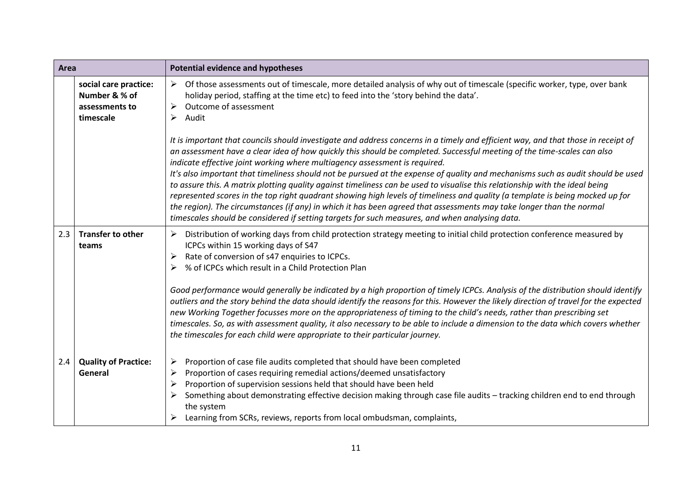| Area |                                                                       | <b>Potential evidence and hypotheses</b>                                                                                                                                                                                                                                                                                                                                                                                                                                                                                                                                                                                                                                                                                                                                                                                                                                                                                                                                 |
|------|-----------------------------------------------------------------------|--------------------------------------------------------------------------------------------------------------------------------------------------------------------------------------------------------------------------------------------------------------------------------------------------------------------------------------------------------------------------------------------------------------------------------------------------------------------------------------------------------------------------------------------------------------------------------------------------------------------------------------------------------------------------------------------------------------------------------------------------------------------------------------------------------------------------------------------------------------------------------------------------------------------------------------------------------------------------|
|      | social care practice:<br>Number & % of<br>assessments to<br>timescale | Of those assessments out of timescale, more detailed analysis of why out of timescale (specific worker, type, over bank<br>➤<br>holiday period, staffing at the time etc) to feed into the 'story behind the data'.<br>Outcome of assessment<br>$\blacktriangleright$<br>Audit<br>➤                                                                                                                                                                                                                                                                                                                                                                                                                                                                                                                                                                                                                                                                                      |
|      |                                                                       | It is important that councils should investigate and address concerns in a timely and efficient way, and that those in receipt of<br>an assessment have a clear idea of how quickly this should be completed. Successful meeting of the time-scales can also<br>indicate effective joint working where multiagency assessment is required.<br>It's also important that timeliness should not be pursued at the expense of quality and mechanisms such as audit should be used<br>to assure this. A matrix plotting quality against timeliness can be used to visualise this relationship with the ideal being<br>represented scores in the top right quadrant showing high levels of timeliness and quality (a template is being mocked up for<br>the region). The circumstances (if any) in which it has been agreed that assessments may take longer than the normal<br>timescales should be considered if setting targets for such measures, and when analysing data. |
| 2.3  | <b>Transfer to other</b><br>teams                                     | Distribution of working days from child protection strategy meeting to initial child protection conference measured by<br>➤<br>ICPCs within 15 working days of S47<br>Rate of conversion of s47 enquiries to ICPCs.<br>➤<br>% of ICPCs which result in a Child Protection Plan<br>Good performance would generally be indicated by a high proportion of timely ICPCs. Analysis of the distribution should identify<br>outliers and the story behind the data should identify the reasons for this. However the likely direction of travel for the expected<br>new Working Together focusses more on the appropriateness of timing to the child's needs, rather than prescribing set<br>timescales. So, as with assessment quality, it also necessary to be able to include a dimension to the data which covers whether<br>the timescales for each child were appropriate to their particular journey.                                                                   |
| 2.4  | <b>Quality of Practice:</b><br>General                                | Proportion of case file audits completed that should have been completed<br>➤<br>Proportion of cases requiring remedial actions/deemed unsatisfactory<br>➤<br>Proportion of supervision sessions held that should have been held<br>➤<br>Something about demonstrating effective decision making through case file audits - tracking children end to end through<br>the system<br>Learning from SCRs, reviews, reports from local ombudsman, complaints,                                                                                                                                                                                                                                                                                                                                                                                                                                                                                                                 |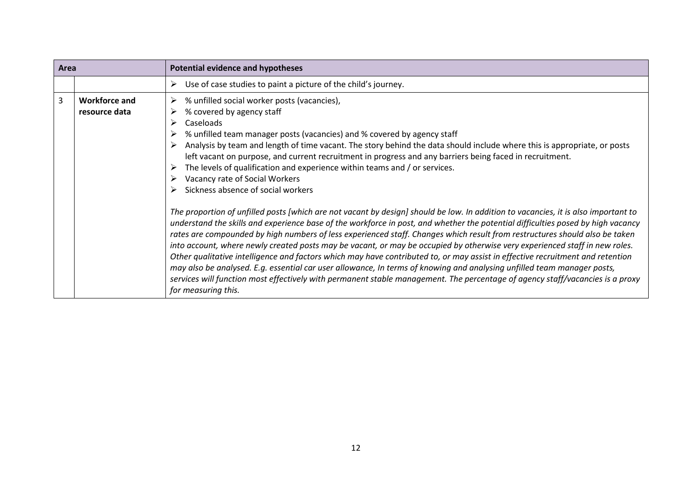| Area           |                                       | <b>Potential evidence and hypotheses</b>                                                                                                                                                                                                                                                                                                                                                                                                                                                                                                                                                                                                                                                                                                                                                                                                                                                                                                                                                                                                                                                                                                                                                                                                                                                                                                                                                                                                                                                                                                        |
|----------------|---------------------------------------|-------------------------------------------------------------------------------------------------------------------------------------------------------------------------------------------------------------------------------------------------------------------------------------------------------------------------------------------------------------------------------------------------------------------------------------------------------------------------------------------------------------------------------------------------------------------------------------------------------------------------------------------------------------------------------------------------------------------------------------------------------------------------------------------------------------------------------------------------------------------------------------------------------------------------------------------------------------------------------------------------------------------------------------------------------------------------------------------------------------------------------------------------------------------------------------------------------------------------------------------------------------------------------------------------------------------------------------------------------------------------------------------------------------------------------------------------------------------------------------------------------------------------------------------------|
|                |                                       | Use of case studies to paint a picture of the child's journey.<br>➤                                                                                                                                                                                                                                                                                                                                                                                                                                                                                                                                                                                                                                                                                                                                                                                                                                                                                                                                                                                                                                                                                                                                                                                                                                                                                                                                                                                                                                                                             |
| $\overline{3}$ | <b>Workforce and</b><br>resource data | % unfilled social worker posts (vacancies),<br>➤<br>% covered by agency staff<br>➤<br>Caseloads<br>➤<br>% unfilled team manager posts (vacancies) and % covered by agency staff<br>Analysis by team and length of time vacant. The story behind the data should include where this is appropriate, or posts<br>left vacant on purpose, and current recruitment in progress and any barriers being faced in recruitment.<br>The levels of qualification and experience within teams and / or services.<br>➤<br>Vacancy rate of Social Workers<br>Sickness absence of social workers<br>The proportion of unfilled posts [which are not vacant by design] should be low. In addition to vacancies, it is also important to<br>understand the skills and experience base of the workforce in post, and whether the potential difficulties posed by high vacancy<br>rates are compounded by high numbers of less experienced staff. Changes which result from restructures should also be taken<br>into account, where newly created posts may be vacant, or may be occupied by otherwise very experienced staff in new roles.<br>Other qualitative intelligence and factors which may have contributed to, or may assist in effective recruitment and retention<br>may also be analysed. E.g. essential car user allowance, In terms of knowing and analysing unfilled team manager posts,<br>services will function most effectively with permanent stable management. The percentage of agency staff/vacancies is a proxy<br>for measuring this. |